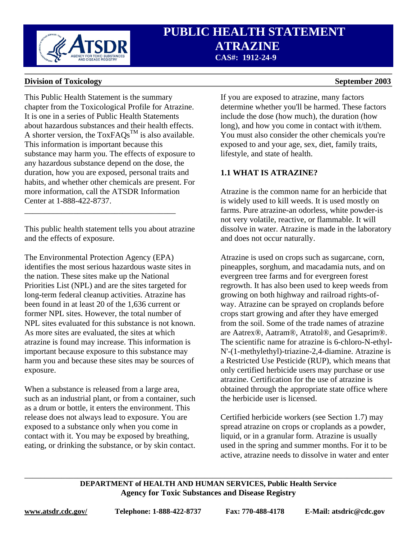

## **Division of Toxicology** September 2003

This Public Health Statement is the summary chapter from the Toxicological Profile for Atrazine. It is one in a series of Public Health Statements about hazardous substances and their health effects. A shorter version, the ToxFAQs<sup>TM</sup> is also available. This information is important because this substance may harm you. The effects of exposure to any hazardous substance depend on the dose, the duration, how you are exposed, personal traits and habits, and whether other chemicals are present. For more information, call the ATSDR Information Center at 1-888-422-8737.

This public health statement tells you about atrazine and the effects of exposure.

\_\_\_\_\_\_\_\_\_\_\_\_\_\_\_\_\_\_\_\_\_\_\_\_\_\_\_\_\_\_\_\_\_\_\_\_\_

The Environmental Protection Agency (EPA) identifies the most serious hazardous waste sites in the nation. These sites make up the National Priorities List (NPL) and are the sites targeted for long-term federal cleanup activities. Atrazine has been found in at least 20 of the 1,636 current or former NPL sites. However, the total number of NPL sites evaluated for this substance is not known. As more sites are evaluated, the sites at which atrazine is found may increase. This information is important because exposure to this substance may harm you and because these sites may be sources of exposure.

When a substance is released from a large area, such as an industrial plant, or from a container, such as a drum or bottle, it enters the environment. This release does not always lead to exposure. You are exposed to a substance only when you come in contact with it. You may be exposed by breathing, eating, or drinking the substance, or by skin contact.

If you are exposed to atrazine, many factors determine whether you'll be harmed. These factors include the dose (how much), the duration (how long), and how you come in contact with it/them. You must also consider the other chemicals you're exposed to and your age, sex, diet, family traits, lifestyle, and state of health.

# **1.1 WHAT IS ATRAZINE?**

Atrazine is the common name for an herbicide that is widely used to kill weeds. It is used mostly on farms. Pure atrazine-an odorless, white powder-is not very volatile, reactive, or flammable. It will dissolve in water. Atrazine is made in the laboratory and does not occur naturally.

Atrazine is used on crops such as sugarcane, corn, pineapples, sorghum, and macadamia nuts, and on evergreen tree farms and for evergreen forest regrowth. It has also been used to keep weeds from growing on both highway and railroad rights-ofway. Atrazine can be sprayed on croplands before crops start growing and after they have emerged from the soil. Some of the trade names of atrazine are Aatrex®, Aatram®, Atratol®, and Gesaprim®. The scientific name for atrazine is 6-chloro-N-ethyl-N'-(1-methylethyl)-triazine-2,4-diamine. Atrazine is a Restricted Use Pesticide (RUP), which means that only certified herbicide users may purchase or use atrazine. Certification for the use of atrazine is obtained through the appropriate state office where the herbicide user is licensed.

Certified herbicide workers (see Section 1.7) may spread atrazine on crops or croplands as a powder, liquid, or in a granular form. Atrazine is usually used in the spring and summer months. For it to be active, atrazine needs to dissolve in water and enter

#### \_\_\_\_\_\_\_\_\_\_\_\_\_\_\_\_\_\_\_\_\_\_\_\_\_\_\_\_\_\_\_\_\_\_\_\_\_\_\_\_\_\_\_\_\_\_\_\_\_\_\_\_\_\_\_\_\_\_\_\_\_\_\_\_\_\_\_\_\_\_\_\_\_\_\_\_\_\_\_\_\_\_\_\_\_\_\_\_\_\_ **DEPARTMENT of HEALTH AND HUMAN SERVICES, Public Health Service Agency for Toxic Substances and Disease Registry**

**www.atsdr.cdc.gov/ Telephone: 1-888-422-8737 Fax: 770-488-4178 E-Mail: atsdric@cdc.gov**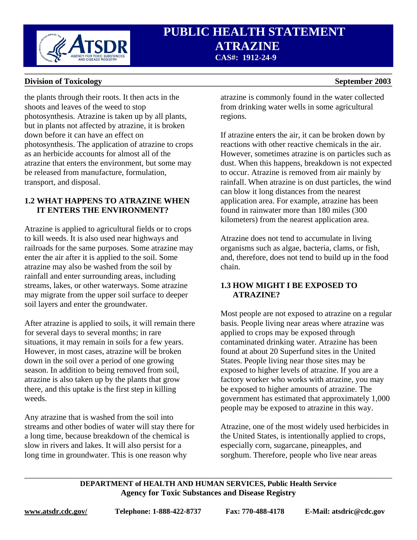

## **Division of Toxicology** September 2003

the plants through their roots. It then acts in the shoots and leaves of the weed to stop photosynthesis. Atrazine is taken up by all plants, but in plants not affected by atrazine, it is broken down before it can have an effect on photosynthesis. The application of atrazine to crops as an herbicide accounts for almost all of the atrazine that enters the environment, but some may be released from manufacture, formulation, transport, and disposal.

# **1.2 WHAT HAPPENS TO ATRAZINE WHEN IT ENTERS THE ENVIRONMENT?**

Atrazine is applied to agricultural fields or to crops to kill weeds. It is also used near highways and railroads for the same purposes. Some atrazine may enter the air after it is applied to the soil. Some atrazine may also be washed from the soil by rainfall and enter surrounding areas, including streams, lakes, or other waterways. Some atrazine may migrate from the upper soil surface to deeper soil layers and enter the groundwater.

After atrazine is applied to soils, it will remain there for several days to several months; in rare situations, it may remain in soils for a few years. However, in most cases, atrazine will be broken down in the soil over a period of one growing season. In addition to being removed from soil, atrazine is also taken up by the plants that grow there, and this uptake is the first step in killing weeds.

Any atrazine that is washed from the soil into streams and other bodies of water will stay there for a long time, because breakdown of the chemical is slow in rivers and lakes. It will also persist for a long time in groundwater. This is one reason why

atrazine is commonly found in the water collected from drinking water wells in some agricultural regions.

If atrazine enters the air, it can be broken down by reactions with other reactive chemicals in the air. However, sometimes atrazine is on particles such as dust. When this happens, breakdown is not expected to occur. Atrazine is removed from air mainly by rainfall. When atrazine is on dust particles, the wind can blow it long distances from the nearest application area. For example, atrazine has been found in rainwater more than 180 miles (300 kilometers) from the nearest application area.

Atrazine does not tend to accumulate in living organisms such as algae, bacteria, clams, or fish, and, therefore, does not tend to build up in the food chain.

#### **1.3 HOW MIGHT I BE EXPOSED TO ATRAZINE?**

Most people are not exposed to atrazine on a regular basis. People living near areas where atrazine was applied to crops may be exposed through contaminated drinking water. Atrazine has been found at about 20 Superfund sites in the United States. People living near those sites may be exposed to higher levels of atrazine. If you are a factory worker who works with atrazine, you may be exposed to higher amounts of atrazine. The government has estimated that approximately 1,000 people may be exposed to atrazine in this way.

Atrazine, one of the most widely used herbicides in the United States, is intentionally applied to crops, especially corn, sugarcane, pineapples, and sorghum. Therefore, people who live near areas

\_\_\_\_\_\_\_\_\_\_\_\_\_\_\_\_\_\_\_\_\_\_\_\_\_\_\_\_\_\_\_\_\_\_\_\_\_\_\_\_\_\_\_\_\_\_\_\_\_\_\_\_\_\_\_\_\_\_\_\_\_\_\_\_\_\_\_\_\_\_\_\_\_\_\_\_\_\_\_\_\_\_\_\_\_\_\_\_\_\_ **DEPARTMENT of HEALTH AND HUMAN SERVICES, Public Health Service Agency for Toxic Substances and Disease Registry** 

**www.atsdr.cdc.gov/ Telephone: 1-888-422-8737 Fax: 770-488-4178 E-Mail: atsdric@cdc.gov**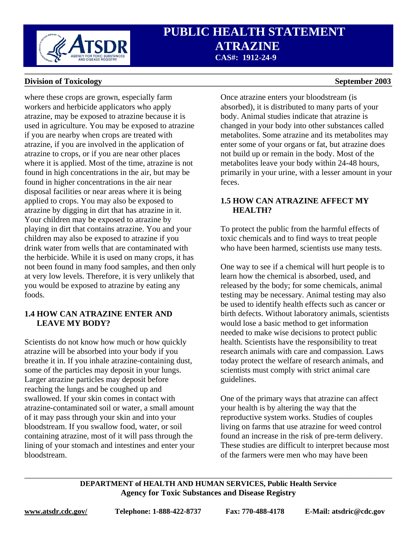

# **PUBLIC HEALTH STATEMENT ATRAZINE CAS#: 1912-24-9**

#### **Division of Toxicology September 2003 September 2003**

where these crops are grown, especially farm workers and herbicide applicators who apply atrazine, may be exposed to atrazine because it is used in agriculture. You may be exposed to atrazine if you are nearby when crops are treated with atrazine, if you are involved in the application of atrazine to crops, or if you are near other places where it is applied. Most of the time, atrazine is not found in high concentrations in the air, but may be found in higher concentrations in the air near disposal facilities or near areas where it is being applied to crops. You may also be exposed to atrazine by digging in dirt that has atrazine in it. Your children may be exposed to atrazine by playing in dirt that contains atrazine. You and your children may also be exposed to atrazine if you drink water from wells that are contaminated with the herbicide. While it is used on many crops, it has not been found in many food samples, and then only at very low levels. Therefore, it is very unlikely that you would be exposed to atrazine by eating any foods.

#### **1.4 HOW CAN ATRAZINE ENTER AND LEAVE MY BODY?**

Scientists do not know how much or how quickly atrazine will be absorbed into your body if you breathe it in. If you inhale atrazine-containing dust, some of the particles may deposit in your lungs. Larger atrazine particles may deposit before reaching the lungs and be coughed up and swallowed. If your skin comes in contact with atrazine-contaminated soil or water, a small amount of it may pass through your skin and into your bloodstream. If you swallow food, water, or soil containing atrazine, most of it will pass through the lining of your stomach and intestines and enter your bloodstream.

Once atrazine enters your bloodstream (is absorbed), it is distributed to many parts of your body. Animal studies indicate that atrazine is changed in your body into other substances called metabolites. Some atrazine and its metabolites may enter some of your organs or fat, but atrazine does not build up or remain in the body. Most of the metabolites leave your body within 24-48 hours, primarily in your urine, with a lesser amount in your feces.

# **1.5 HOW CAN ATRAZINE AFFECT MY HEALTH?**

To protect the public from the harmful effects of toxic chemicals and to find ways to treat people who have been harmed, scientists use many tests.

One way to see if a chemical will hurt people is to learn how the chemical is absorbed, used, and released by the body; for some chemicals, animal testing may be necessary. Animal testing may also be used to identify health effects such as cancer or birth defects. Without laboratory animals, scientists would lose a basic method to get information needed to make wise decisions to protect public health. Scientists have the responsibility to treat research animals with care and compassion. Laws today protect the welfare of research animals, and scientists must comply with strict animal care guidelines.

One of the primary ways that atrazine can affect your health is by altering the way that the reproductive system works. Studies of couples living on farms that use atrazine for weed control found an increase in the risk of pre-term delivery. These studies are difficult to interpret because most of the farmers were men who may have been

**DEPARTMENT of HEALTH AND HUMAN SERVICES, Public Health Service Agency for Toxic Substances and Disease Registry** 

\_\_\_\_\_\_\_\_\_\_\_\_\_\_\_\_\_\_\_\_\_\_\_\_\_\_\_\_\_\_\_\_\_\_\_\_\_\_\_\_\_\_\_\_\_\_\_\_\_\_\_\_\_\_\_\_\_\_\_\_\_\_\_\_\_\_\_\_\_\_\_\_\_\_\_\_\_\_\_\_\_\_\_\_\_\_\_\_\_\_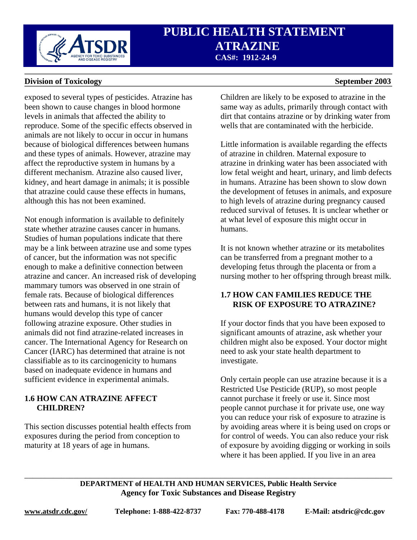

#### **Division of Toxicology September 2003 September 2003**

exposed to several types of pesticides. Atrazine has been shown to cause changes in blood hormone levels in animals that affected the ability to reproduce. Some of the specific effects observed in animals are not likely to occur in occur in humans because of biological differences between humans and these types of animals. However, atrazine may affect the reproductive system in humans by a different mechanism. Atrazine also caused liver, kidney, and heart damage in animals; it is possible that atrazine could cause these effects in humans, although this has not been examined.

Not enough information is available to definitely state whether atrazine causes cancer in humans. Studies of human populations indicate that there may be a link between atrazine use and some types of cancer, but the information was not specific enough to make a definitive connection between atrazine and cancer. An increased risk of developing mammary tumors was observed in one strain of female rats. Because of biological differences between rats and humans, it is not likely that humans would develop this type of cancer following atrazine exposure. Other studies in animals did not find atrazine-related increases in cancer. The International Agency for Research on Cancer (IARC) has determined that atraine is not classifiable as to its carcinogenicity to humans based on inadequate evidence in humans and sufficient evidence in experimental animals.

#### **1.6 HOW CAN ATRAZINE AFFECT CHILDREN?**

This section discusses potential health effects from exposures during the period from conception to maturity at 18 years of age in humans.

Children are likely to be exposed to atrazine in the same way as adults, primarily through contact with dirt that contains atrazine or by drinking water from wells that are contaminated with the herbicide.

Little information is available regarding the effects of atrazine in children. Maternal exposure to atrazine in drinking water has been associated with low fetal weight and heart, urinary, and limb defects in humans. Atrazine has been shown to slow down the development of fetuses in animals, and exposure to high levels of atrazine during pregnancy caused reduced survival of fetuses. It is unclear whether or at what level of exposure this might occur in humans.

It is not known whether atrazine or its metabolites can be transferred from a pregnant mother to a developing fetus through the placenta or from a nursing mother to her offspring through breast milk.

# **1.7 HOW CAN FAMILIES REDUCE THE RISK OF EXPOSURE TO ATRAZINE?**

If your doctor finds that you have been exposed to significant amounts of atrazine, ask whether your children might also be exposed. Your doctor might need to ask your state health department to investigate.

Only certain people can use atrazine because it is a Restricted Use Pesticide (RUP), so most people cannot purchase it freely or use it. Since most people cannot purchase it for private use, one way you can reduce your risk of exposure to atrazine is by avoiding areas where it is being used on crops or for control of weeds. You can also reduce your risk of exposure by avoiding digging or working in soils where it has been applied. If you live in an area

**DEPARTMENT of HEALTH AND HUMAN SERVICES, Public Health Service Agency for Toxic Substances and Disease Registry** 

\_\_\_\_\_\_\_\_\_\_\_\_\_\_\_\_\_\_\_\_\_\_\_\_\_\_\_\_\_\_\_\_\_\_\_\_\_\_\_\_\_\_\_\_\_\_\_\_\_\_\_\_\_\_\_\_\_\_\_\_\_\_\_\_\_\_\_\_\_\_\_\_\_\_\_\_\_\_\_\_\_\_\_\_\_\_\_\_\_\_

www.atsdr.cdc.gov/

**www.atsdr.cdc.gov/ Telephone: 1-888-422-8737 Fax: 770-488-4178 E-Mail: atsdric@cdc.gov**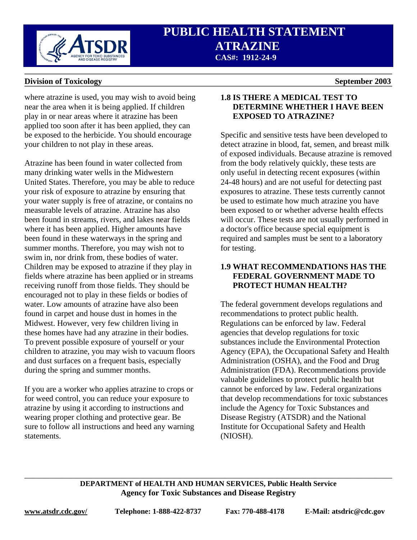

#### **Division of Toxicology September 2003 September 2003**

where atrazine is used, you may wish to avoid being near the area when it is being applied. If children play in or near areas where it atrazine has been applied too soon after it has been applied, they can be exposed to the herbicide. You should encourage your children to not play in these areas.

Atrazine has been found in water collected from many drinking water wells in the Midwestern United States. Therefore, you may be able to reduce your risk of exposure to atrazine by ensuring that your water supply is free of atrazine, or contains no measurable levels of atrazine. Atrazine has also been found in streams, rivers, and lakes near fields where it has been applied. Higher amounts have been found in these waterways in the spring and summer months. Therefore, you may wish not to swim in, nor drink from, these bodies of water. Children may be exposed to atrazine if they play in fields where atrazine has been applied or in streams receiving runoff from those fields. They should be encouraged not to play in these fields or bodies of water. Low amounts of atrazine have also been found in carpet and house dust in homes in the Midwest. However, very few children living in these homes have had any atrazine in their bodies. To prevent possible exposure of yourself or your children to atrazine, you may wish to vacuum floors and dust surfaces on a frequent basis, especially during the spring and summer months.

If you are a worker who applies atrazine to crops or for weed control, you can reduce your exposure to atrazine by using it according to instructions and wearing proper clothing and protective gear. Be sure to follow all instructions and heed any warning statements.

# **1.8 IS THERE A MEDICAL TEST TO DETERMINE WHETHER I HAVE BEEN EXPOSED TO ATRAZINE?**

Specific and sensitive tests have been developed to detect atrazine in blood, fat, semen, and breast milk of exposed individuals. Because atrazine is removed from the body relatively quickly, these tests are only useful in detecting recent exposures (within 24-48 hours) and are not useful for detecting past exposures to atrazine. These tests currently cannot be used to estimate how much atrazine you have been exposed to or whether adverse health effects will occur. These tests are not usually performed in a doctor's office because special equipment is required and samples must be sent to a laboratory for testing.

# **1.9 WHAT RECOMMENDATIONS HAS THE FEDERAL GOVERNMENT MADE TO PROTECT HUMAN HEALTH?**

The federal government develops regulations and recommendations to protect public health. Regulations can be enforced by law. Federal agencies that develop regulations for toxic substances include the Environmental Protection Agency (EPA), the Occupational Safety and Health Administration (OSHA), and the Food and Drug Administration (FDA). Recommendations provide valuable guidelines to protect public health but cannot be enforced by law. Federal organizations that develop recommendations for toxic substances include the Agency for Toxic Substances and Disease Registry (ATSDR) and the National Institute for Occupational Safety and Health (NIOSH).

**DEPARTMENT of HEALTH AND HUMAN SERVICES, Public Health Service Agency for Toxic Substances and Disease Registry** 

\_\_\_\_\_\_\_\_\_\_\_\_\_\_\_\_\_\_\_\_\_\_\_\_\_\_\_\_\_\_\_\_\_\_\_\_\_\_\_\_\_\_\_\_\_\_\_\_\_\_\_\_\_\_\_\_\_\_\_\_\_\_\_\_\_\_\_\_\_\_\_\_\_\_\_\_\_\_\_\_\_\_\_\_\_\_\_\_\_\_

www.atsdr.cdc.gov/ **www.atsdr.cdc.gov/ Telephone: 1-888-422-8737 Fax: 770-488-4178 E-Mail: atsdric@cdc.gov**